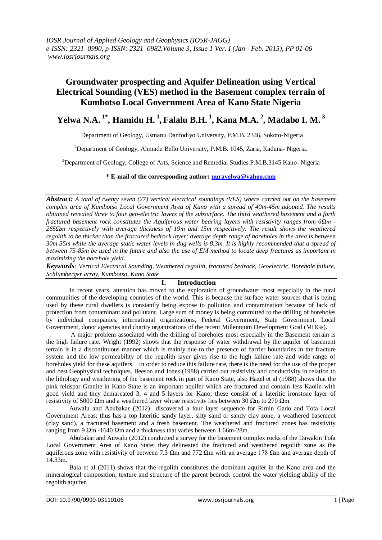# **Groundwater prospecting and Aquifer Delineation using Vertical Electrical Sounding (VES) method in the Basement complex terrain of Kumbotso Local Government Area of Kano State Nigeria**

# **Yelwa N.A. 1\*, Hamidu H. <sup>1</sup> , Falalu B.H. <sup>1</sup> , Kana M.A. <sup>2</sup> , Madabo I. M. <sup>3</sup>**

<sup>1</sup>Department of Geology, Usmanu Danfodiyo University, P.M.B. 2346, Sokoto-Nigeria

<sup>2</sup>Department of Geology, Ahmadu Bello University, P.M.B. 1045, Zaria, Kaduna- Nigeria.

<sup>3</sup>Department of Geology, College of Arts, Science and Remedial Studies P.M.B.3145 Kano- Nigeria

#### **\* E-mail of the corresponding author: [nurayelwa@yahoo.com](mailto:nurayelwa@yahoo.com)**

*Abstract: A total of twenty seven (27) vertical electrical soundings (VES) where carried out on the basement complex area of Kumbotso Local Government Area of Kano with a spread of 40m-45m adopted. The results obtained revealed three to four geo-electric layers of the subsurface. The third weathered basement and a forth fractured basement rock constitutes the Aquiferous water bearing layers with resistivity ranges from 6Ωm - 265Ωm respectively with average thickness of 19m and 15m respectively. The result shows the weathered regolith to be thicker than the fractured bedrock layer; average depth range of boreholes in the area is between 30m-35m while the average static water levels in dug wells is 8.3m. It is highly recommended that a spread of between 75-85m be used in the future and also the use of EM method to locate deep fractures as important in maximizing the borehole yield.*

*Keywords: Vertical Electrical Sounding, Weathered regolith, fractured bedrock, Geoelectric, Borehole failure, Schlumberger array, Kumbotso, Kano State*

#### **I. Introduction**

In recent years, attention has moved to the exploration of groundwater most especially in the rural communities of the developing countries of the world. This is because the surface water sources that is being used by these rural dwellers is constantly being expose to pollution and contamination because of lack of protection from contaminant and pollutant. Large sum of money is being committed to the drilling of boreholes by individual companies, international organizations, Federal Government, State Government, Local Government, donor agencies and charity organizations of the recent Millennium Development Goal (MDGs).

A major problem associated with the drilling of boreholes most especially in the Basement terrain is the high failure rate. Wright (1992) shows that the response of water withdrawal by the aquifer of basement terrain is in a discontinuous manner which is mainly due to the presence of barrier boundaries in the fracture system and the low permeability of the regolith layer gives rise to the high failure rate and wide range of boreholes yield for these aquifers. In order to reduce this failure rate, there is the need for the use of the proper and best Geophysical techniques. Beeson and Jones (1988) carried out resistivity and conductivity in relation to the lithology and weathering of the basement rock in part of Kano State, also Hazel et al (1988) shows that the pink feldspar Granite in Kano State is an important aquifer which are fractured and contain less Kaolin with good yield and they demarcated 3, 4 and 5 layers for Kano; these consist of a lateritic ironstone layer of resistivity of 5000 Ωm and a weathered layer whose resistivity lies between 30 Ωm to 270 Ωm.

Auwalu and Abubakar (2012) discovered a four layer sequence for Rimin Gado and Tofa Local Government Areas; thus has a top lateritic sandy layer, silty sand or sandy clay zone, a weathered basement (clay sand), a fractured basement and a fresh basement. The weathered and fractured zones has resistivity ranging from 9 Ωm -1640 Ωm and a thickness that varies between 1.66m-28m.

Abubakar and Auwalu (2012) conducted a survey for the basement complex rocks of the Dawakin Tofa Local Government Area of Kano State; they delineated the fractured and weathered regolith zone as the aquiferous zone with resistivity of between 7.3 Ωm and 772 Ωm with an average 178 Ωm and average depth of 14.33m.

Bala et al (2011) shows that the regolith constitutes the dominant aquifer in the Kano area and the mineralogical composition, texture and structure of the parent bedrock control the water yielding ability of the regolith aquifer.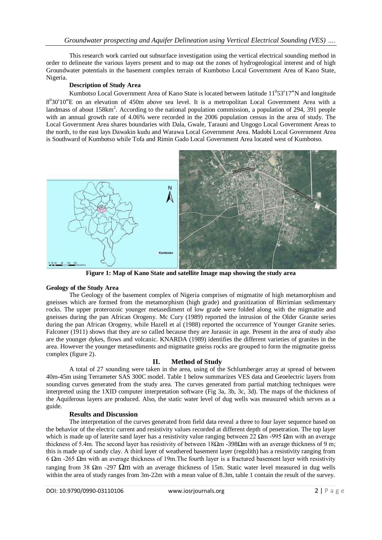This research work carried out subsurface investigation using the vertical electrical sounding method in order to delineate the various layers present and to map out the zones of hydrogeological interest and of high Groundwater potentials in the basement complex terrain of Kumbotso Local Government Area of Kano State, Nigeria.

## **Description of Study Area**

Kumbotso Local Government Area of Kano State is located between latitude  $11<sup>0</sup>53'17''N$  and longitude 8<sup>0</sup>30'10"E on an elevation of 450m above sea level. It is a metropolitan Local Government Area with a landmass of about 158km<sup>2</sup>. According to the national population commission, a population of 294, 391 people with an annual growth rate of 4.06% were recorded in the 2006 population census in the area of study. The Local Government Area shares boundaries with Dala, Gwale, Tarauni and Ungogo Local Government Areas to the north, to the east lays Dawakin kudu and Warawa Local Government Area. Madobi Local Government Area is Southward of Kumbotso while Tofa and Rimin Gado Local Government Area located west of Kumbotso.



**Figure 1: Map of Kano State and satellite Image map showing the study area**

#### **Geology of the Study Area**

The Geology of the basement complex of Nigeria comprises of migmatite of high metamorphism and gneisses which are formed from the metamorphism (high grade) and granitization of Birrimian sedimentary rocks. The upper proterozoic younger metasediment of low grade were folded along with the migmatite and gneisses during the pan African Orogeny. Mc Cury (1989) reported the intrusion of the Older Granite series during the pan African Orogeny, while Hazell et al (1988) reported the occurrence of Younger Granite series. Falconer (1911) shows that they are so called because they are Jurassic in age. Present in the area of study also are the younger dykes, flows and volcanic. KNARDA (1989) identifies the different varieties of granites in the area. However the younger metasediments and migmatite gneiss rocks are grouped to form the migmatite gneiss complex (figure 2).

#### **II. Method of Study**

A total of 27 sounding were taken in the area, using of the Schlumberger array at spread of between 40m-45m using Terrameter SAS 300C model. Table 1 below summarizes VES data and Geoelectric layers from sounding curves generated from the study area. The curves generated from partial matching techniques were interpreted using the 1XID computer interpretation software (Fig 3a, 3b, 3c, 3d). The maps of the thickness of the Aquiferous layers are produced. Also, the static water level of dug wells was measured which serves as a guide.

#### **Results and Discussion**

The interpretation of the curves generated from field data reveal a three to four layer sequence based on the behavior of the electric current and resistivity values recorded at different depth of penetration. The top layer which is made up of laterite sand layer has a resistivity value ranging between 22  $\Omega$ m -995  $\Omega$ m with an average thickness of 5.4m. The second layer has resistivity of between 18Ωm -398Ωm with an average thickness of 9 m; this is made up of sandy clay. A third layer of weathered basement layer (regolith) has a resistivity ranging from 6 Ωm -265 Ωm with an average thickness of 19m.The fourth layer is a fractured basement layer with resistivity ranging from 38 Ωm -297 Ωm with an average thickness of 15m. Static water level measured in dug wells within the area of study ranges from 3m-22m with a mean value of 8.3m, table 1 contain the result of the survey.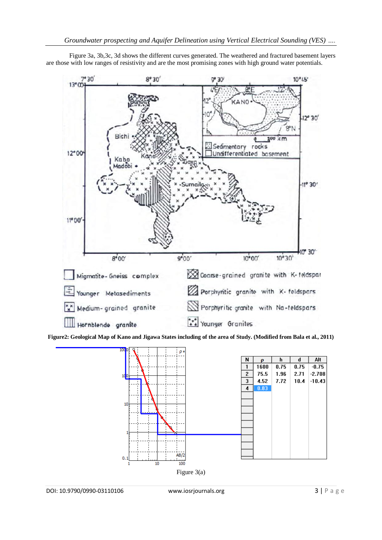

Figure 3a, 3b,3c, 3d shows the different curves generated. The weathered and fractured basement layers are those with low ranges of resistivity and are the most promising zones with high ground water potentials.

**Figure2: Geological Map of Kano and Jigawa States including of the area of Study. (Modified from Bala et al., 2011)**

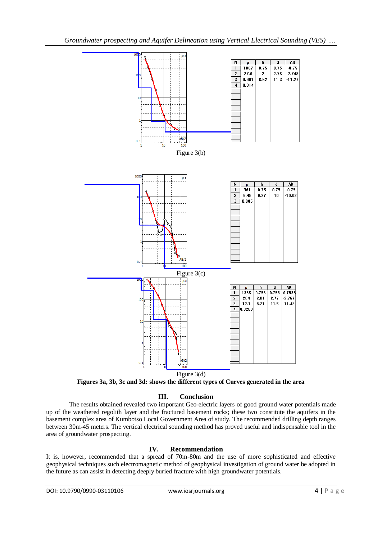



**Figures 3a, 3b, 3c and 3d: shows the different types of Curves generated in the area**

#### **III. Conclusion**

The results obtained revealed two important Geo-electric layers of good ground water potentials made up of the weathered regolith layer and the fractured basement rocks; these two constitute the aquifers in the basement complex area of Kumbotso Local Government Area of study. The recommended drilling depth ranges between 30m-45 meters. The vertical electrical sounding method has proved useful and indispensable tool in the area of groundwater prospecting.

#### **IV. Recommendation**

It is, however, recommended that a spread of 70m-80m and the use of more sophisticated and effective geophysical techniques such electromagnetic method of geophysical investigation of ground water be adopted in the future as can assist in detecting deeply buried fracture with high groundwater potentials.

**DOI: 10.9790/0990-03110106** www.iosrjournals.org **4** | P a g e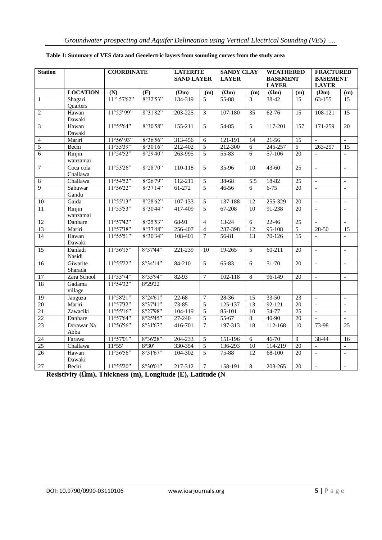| <b>Station</b>   |                       | <b>COORDINATE</b> |          | <b>LATERITE</b><br><b>SAND LAYER</b> |                | <b>SANDY CLAY</b><br><b>LAYER</b> |                  | <b>WEATHERED</b><br><b>BASEMENT</b><br><b>LAYER</b> |                 | <b>FRACTURED</b><br><b>BASEMENT</b><br><b>LAYER</b> |                          |
|------------------|-----------------------|-------------------|----------|--------------------------------------|----------------|-----------------------------------|------------------|-----------------------------------------------------|-----------------|-----------------------------------------------------|--------------------------|
|                  | <b>LOCATION</b>       | (N)               | (E)      | $(\Omega m)$                         | (m)            | $(\Omega m)$                      | (m)              | $(\Omega m)$                                        | (m)             | $(\Omega m)$                                        | (m)                      |
| $\mathbf{1}$     | Shagari<br>Quarters   | 11°57'62"         | 8°32'53" | 134-319                              | 5              | 55-88                             | $\overline{3}$   | 38-42                                               | 15              | 63-155                                              | 15                       |
| $\overline{2}$   | Hawan<br>Dawaki       | 11°55'99"         | 8°31'82" | 203-225                              | 3              | 107-180                           | 35               | $62 - 76$                                           | $\overline{15}$ | 108-121                                             | 15                       |
| $\overline{3}$   | Hawan<br>Dawaki       | 11°55'64"         | 8°30'58" | 155-211                              | 5              | $54 - 85$                         | $\overline{5}$   | 117-201                                             | 157             | 171-259                                             | 20                       |
| $\overline{4}$   | Mariri                | 11°56'93"         | 8°36'56" | 313-456                              | 6              | 121-191                           | 14               | $21 - 56$                                           | 15              |                                                     | $\mathbb{L}$             |
| 5                | Bechi                 | 11°55'39"         | 8°30'16" | 212-402                              | 5              | 212-300                           | $\overline{6}$   | 245-257                                             | $\overline{5}$  | 263-297                                             | $\overline{15}$          |
| $\overline{6}$   | Rinjin<br>wanzamai    | 11°54'52"         | 8°29'40" | 263-995                              | 5              | $55 - 83$                         | 6                | $57-106$                                            | 20              |                                                     | $\overline{\phantom{a}}$ |
| $\boldsymbol{7}$ | Coca cola<br>Challawa | 11°53'26"         | 8°28'70" | 110-118                              | 5              | 35-96                             | 10               | $43 - 60$                                           | $\overline{25}$ | $\overline{a}$                                      | $\blacksquare$           |
| $\overline{8}$   | Challawa              | 11°54'52"         | 8°26'79" | 112-211                              | 5              | 38-68                             | $\overline{5.5}$ | 18-82                                               | $\overline{25}$ | $\Box$                                              | $\mathbf{r}$             |
| $\overline{9}$   | Sabuwar<br>Gandu      | 11°56'22"         | 8°37'14" | 61-272                               | 5              | 46-56                             | $\overline{6}$   | $6 - 75$                                            | $\overline{20}$ | $\overline{a}$                                      | $\overline{a}$           |
| 10               | Gaida                 | 11°55'13"         | 8°28'62" | 107-133                              | 5              | 137-188                           | 12               | 255-329                                             | 20              | $\overline{\phantom{a}}$                            | $\Box$                   |
| $\overline{11}$  | Rinjin<br>wanzamai    | 11°55'53"         | 8°30'44" | 417-409                              | $\overline{5}$ | $67 - 208$                        | 10               | 91-238                                              | 20              |                                                     | $\sim$                   |
| $\overline{12}$  | Danbare               | 11°57'42"         | 8°25'53" | 68-91                                | $\overline{4}$ | $13 - 24$                         | $\overline{6}$   | $22 - 46$                                           | $\overline{25}$ | $\blacksquare$                                      | $\mathbb{L}$             |
| 13               | Mariri                | 11°57'38"         | 8°37'48" | 256-407                              | $\overline{4}$ | 287-398                           | $\overline{12}$  | $95 - 108$                                          | $\overline{5}$  | $28 - 50$                                           | $\overline{15}$          |
| 14               | Hawan<br>Dawaki       | 11°55'51"         | 8°30'34" | 108-401                              | $\overline{7}$ | 56-81                             | 13               | 70-126                                              | 15              |                                                     |                          |
| $\overline{15}$  | Danladi<br>Nasidi     | 11°56'15"         | 8°37'44" | 221-239                              | 10             | 19-265                            | $\overline{5}$   | $60 - 211$                                          | 20              | $\overline{\phantom{a}}$                            | $\overline{\phantom{a}}$ |
| $\overline{16}$  | Giwarite<br>Sharada   | 11°55'22"         | 8°34'14" | 84-210                               | 5              | $65 - 83$                         | $\overline{6}$   | $51 - 70$                                           | 20              | $\Box$                                              | $\blacksquare$           |
| 17               | Zara School           | 11°55'74"         | 8°35'94" | 82-93                                | $\overline{7}$ | 102-118                           | $\sqrt{8}$       | 96-149                                              | 20              | $\overline{a}$                                      | $\sim$                   |
| 18               | Gadama<br>village     | 11°54'32"         | 8°29'22  |                                      |                |                                   |                  |                                                     |                 |                                                     |                          |
| $\overline{19}$  | Janguza               | 11°58'21"         | 8°24'61" | $22 - 68$                            | 7              | $28 - 36$                         | $\overline{15}$  | $33 - 50$                                           | $\overline{23}$ | $\overline{\phantom{0}}$                            |                          |
| 20               | Mariri                | 11°57'32"         | 8°37'41" | $73 - 85$                            | 5              | 125-137                           | 13               | $92 - 121$                                          | $\overline{20}$ | $\overline{a}$                                      | $\mathbb{L}$             |
| 21               | Zawaciki              | 11°55'16"         | 8°27'98" | $104 - 119$                          | 5              | $85-101$                          | $\overline{10}$  | 54-77                                               | 25              | $\overline{\phantom{0}}$                            | $\Box$                   |
| $\overline{22}$  | Danbare               | 11°57'64"         | 8°25'45" | 27-240                               | 5              | 55-67                             | 8                | 40-90                                               | $\overline{20}$ | $\blacksquare$                                      | $\mathbf{r}$             |
| 23               | Dorawar Na<br>Abba    | 11°56'56"         | 8°31'67" | 416-701                              | $\overline{7}$ | 197-313                           | 18               | $112 - 168$                                         | 10              | 73-98                                               | 25                       |
| 24               | Farawa                | 11°57'01"         | 8°36'28" | 204-233                              | 5              | 151-196                           | $\overline{6}$   | $46 - 70$                                           | 9               | 38-44                                               | 16                       |
| 25               | Challawa              | 11°55'            | 8°30'    | 330-354                              | 5              | 136-293                           | $\overline{10}$  | 114-219                                             | 20              |                                                     |                          |
| 26               | Hawan<br>Dawaki       | 11°56'56"         | 8°31'67" | 104-302                              | 5              | $75 - 88$                         | $\overline{12}$  | 68-100                                              | $\overline{20}$ | $\frac{1}{2}$                                       | $\overline{a}$           |
| 27               | Bechi                 | 11°55'20"         | 8°30'01" | 217-312                              | $\overline{7}$ | 158-191                           | 8                | 203-265                                             | 20              | $\blacksquare$                                      |                          |

## **Table 1: Summary of VES data and Geoelectric layers from sounding curves from the study area**

**Resistivity (Ωm), Thickness (m), Longitude (E), Latitude (N**